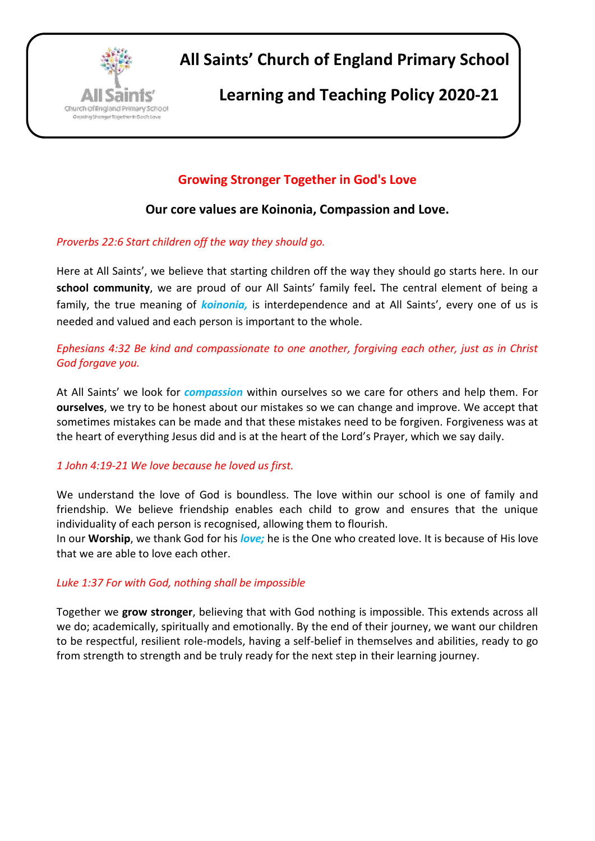

**All Saints' Church of England Primary School**

## **Learning and Teaching Policy 2020-21**

## **Growing Stronger Together in God's Love**

## **Our core values are Koinonia, Compassion and Love.**

## *Proverbs 22:6 Start children off the way they should go.*

Here at All Saints', we believe that starting children off the way they should go starts here. In our **school community**, we are proud of our All Saints' family feel**.** The central element of being a family, the true meaning of *koinonia,* is interdependence and at All Saints', every one of us is needed and valued and each person is important to the whole.

*Ephesians 4:32 Be kind and compassionate to one another, forgiving each other, just as in Christ God forgave you.*

At All Saints' we look for *compassion* within ourselves so we care for others and help them. For **ourselves**, we try to be honest about our mistakes so we can change and improve. We accept that sometimes mistakes can be made and that these mistakes need to be forgiven. Forgiveness was at the heart of everything Jesus did and is at the heart of the Lord's Prayer, which we say daily.

## *1 John 4:19-21 We love because he loved us first.*

We understand the love of God is boundless. The love within our school is one of family and friendship. We believe friendship enables each child to grow and ensures that the unique individuality of each person is recognised, allowing them to flourish.

In our **Worship**, we thank God for his *love;* he is the One who created love. It is because of His love that we are able to love each other.

## *Luke 1:37 For with God, nothing shall be impossible*

Together we **grow stronger**, believing that with God nothing is impossible. This extends across all we do; academically, spiritually and emotionally. By the end of their journey, we want our children to be respectful, resilient role-models, having a self-belief in themselves and abilities, ready to go from strength to strength and be truly ready for the next step in their learning journey.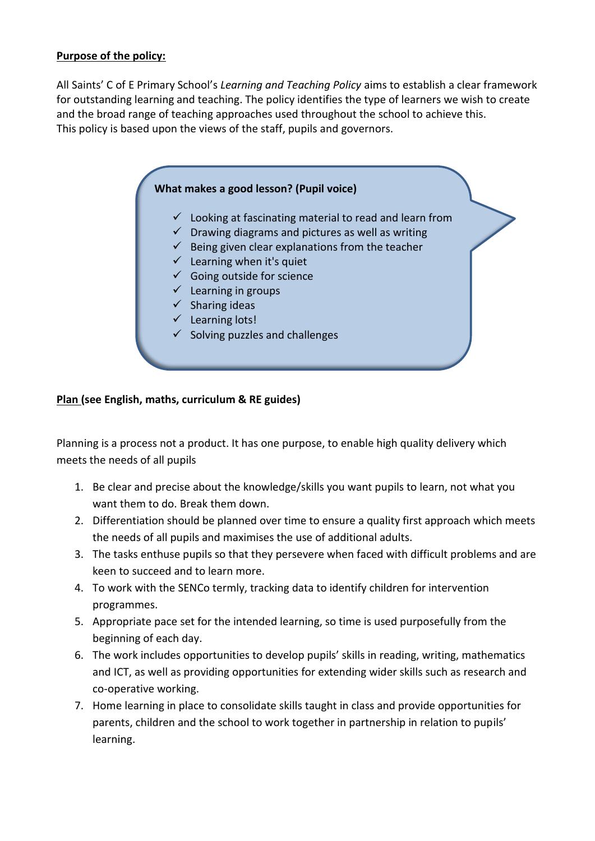## **Purpose of the policy:**

All Saints' C of E Primary School's *Learning and Teaching Policy* aims to establish a clear framework for outstanding learning and teaching. The policy identifies the type of learners we wish to create and the broad range of teaching approaches used throughout the school to achieve this. This policy is based upon the views of the staff, pupils and governors.

# **What makes a good lesson? (Pupil voice)**  $\checkmark$  Looking at fascinating material to read and learn from  $\checkmark$  Drawing diagrams and pictures as well as writing  $\checkmark$  Being given clear explanations from the teacher  $\checkmark$  Learning when it's quiet  $\checkmark$  Going outside for science  $\checkmark$  Learning in groups  $\checkmark$  Sharing ideas  $\checkmark$  Learning lots!  $\checkmark$  Solving puzzles and challenges

## **Plan (see English, maths, curriculum & RE guides)**

Planning is a process not a product. It has one purpose, to enable high quality delivery which meets the needs of all pupils

- 1. Be clear and precise about the knowledge/skills you want pupils to learn, not what you want them to do. Break them down.
- 2. Differentiation should be planned over time to ensure a quality first approach which meets the needs of all pupils and maximises the use of additional adults.
- 3. The tasks enthuse pupils so that they persevere when faced with difficult problems and are keen to succeed and to learn more.
- 4. To work with the SENCo termly, tracking data to identify children for intervention programmes.
- 5. Appropriate pace set for the intended learning, so time is used purposefully from the beginning of each day.
- 6. The work includes opportunities to develop pupils' skills in reading, writing, mathematics and ICT, as well as providing opportunities for extending wider skills such as research and co-operative working.
- 7. Home learning in place to consolidate skills taught in class and provide opportunities for parents, children and the school to work together in partnership in relation to pupils' learning.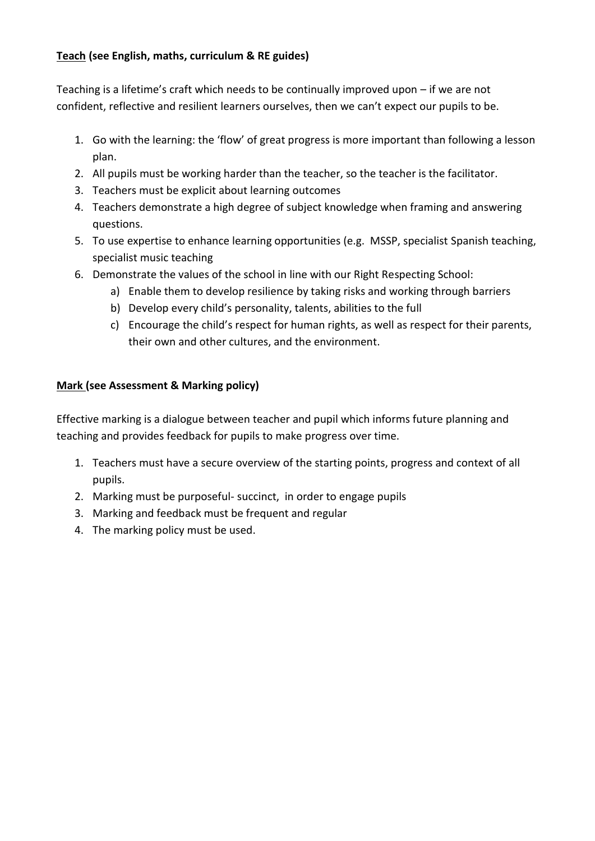## **Teach (see English, maths, curriculum & RE guides)**

Teaching is a lifetime's craft which needs to be continually improved upon – if we are not confident, reflective and resilient learners ourselves, then we can't expect our pupils to be.

- 1. Go with the learning: the 'flow' of great progress is more important than following a lesson plan.
- 2. All pupils must be working harder than the teacher, so the teacher is the facilitator.
- 3. Teachers must be explicit about learning outcomes
- 4. Teachers demonstrate a high degree of subject knowledge when framing and answering questions.
- 5. To use expertise to enhance learning opportunities (e.g. MSSP, specialist Spanish teaching, specialist music teaching
- 6. Demonstrate the values of the school in line with our Right Respecting School:
	- a) Enable them to develop resilience by taking risks and working through barriers
	- b) Develop every child's personality, talents, abilities to the full
	- c) Encourage the child's respect for human rights, as well as respect for their parents, their own and other cultures, and the environment.

## **Mark (see Assessment & Marking policy)**

Effective marking is a dialogue between teacher and pupil which informs future planning and teaching and provides feedback for pupils to make progress over time.

- 1. Teachers must have a secure overview of the starting points, progress and context of all pupils.
- 2. Marking must be purposeful- succinct, in order to engage pupils
- 3. Marking and feedback must be frequent and regular
- 4. The marking policy must be used.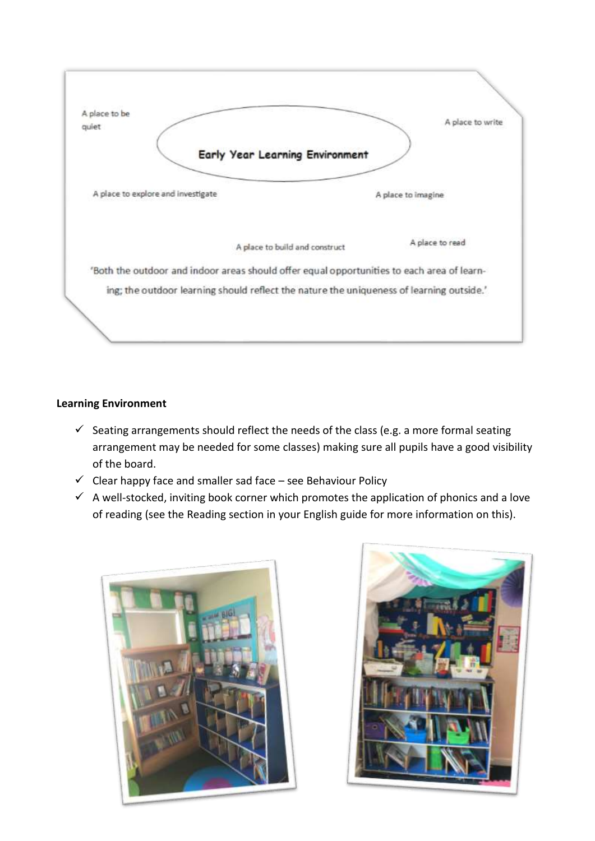

## **Learning Environment**

- $\checkmark$  Seating arrangements should reflect the needs of the class (e.g. a more formal seating arrangement may be needed for some classes) making sure all pupils have a good visibility of the board.
- $\checkmark$  Clear happy face and smaller sad face see Behaviour Policy
- $\checkmark$  A well-stocked, inviting book corner which promotes the application of phonics and a love of reading (see the Reading section in your English guide for more information on this).



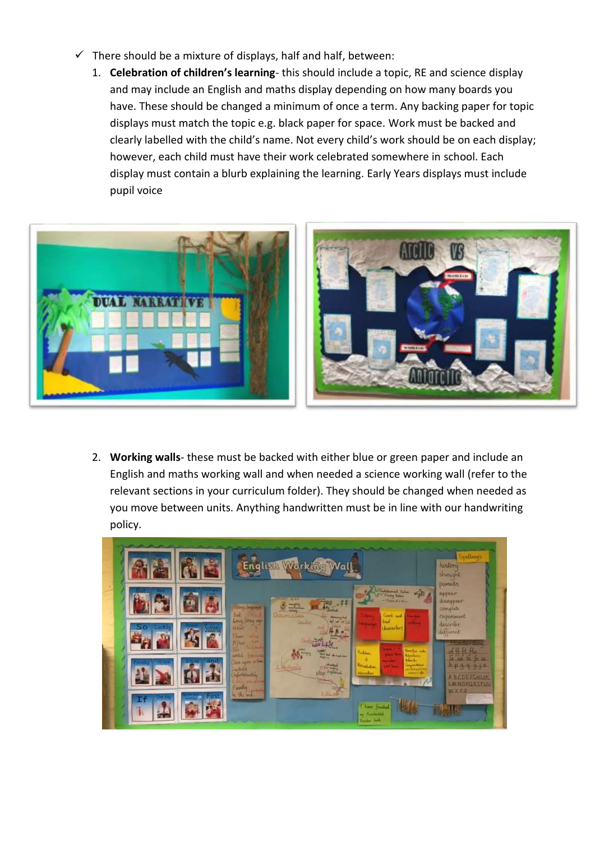- $\checkmark$  There should be a mixture of displays, half and half, between:
	- 1. **Celebration of children's learning** this should include a topic, RE and science display and may include an English and maths display depending on how many boards you have. These should be changed a minimum of once a term. Any backing paper for topic displays must match the topic e.g. black paper for space. Work must be backed and clearly labelled with the child's name. Not every child's work should be on each display; however, each child must have their work celebrated somewhere in school. Each display must contain a blurb explaining the learning. Early Years displays must include pupil voice



2. **Working walls**- these must be backed with either blue or green paper and include an English and maths working wall and when needed a science working wall (refer to the relevant sections in your curriculum folder). They should be changed when needed as you move between units. Anything handwritten must be in line with our handwriting policy.

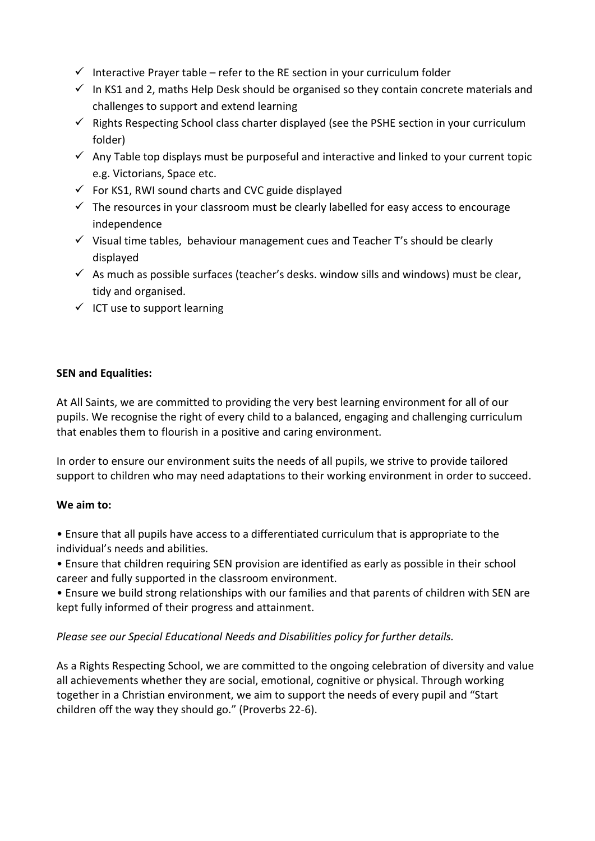- Interactive Prayer table refer to the RE section in your curriculum folder
- $\checkmark$  In KS1 and 2, maths Help Desk should be organised so they contain concrete materials and challenges to support and extend learning
- $\checkmark$  Rights Respecting School class charter displayed (see the PSHE section in your curriculum folder)
- $\checkmark$  Any Table top displays must be purposeful and interactive and linked to your current topic e.g. Victorians, Space etc.
- $\checkmark$  For KS1, RWI sound charts and CVC guide displayed
- $\checkmark$  The resources in your classroom must be clearly labelled for easy access to encourage independence
- $\checkmark$  Visual time tables, behaviour management cues and Teacher T's should be clearly displayed
- $\checkmark$  As much as possible surfaces (teacher's desks. window sills and windows) must be clear, tidy and organised.
- $\checkmark$  ICT use to support learning

#### **SEN and Equalities:**

At All Saints, we are committed to providing the very best learning environment for all of our pupils. We recognise the right of every child to a balanced, engaging and challenging curriculum that enables them to flourish in a positive and caring environment.

In order to ensure our environment suits the needs of all pupils, we strive to provide tailored support to children who may need adaptations to their working environment in order to succeed.

## **We aim to:**

• Ensure that all pupils have access to a differentiated curriculum that is appropriate to the individual's needs and abilities.

• Ensure that children requiring SEN provision are identified as early as possible in their school career and fully supported in the classroom environment.

• Ensure we build strong relationships with our families and that parents of children with SEN are kept fully informed of their progress and attainment.

## *Please see our Special Educational Needs and Disabilities policy for further details.*

As a Rights Respecting School, we are committed to the ongoing celebration of diversity and value all achievements whether they are social, emotional, cognitive or physical. Through working together in a Christian environment, we aim to support the needs of every pupil and "Start children off the way they should go." (Proverbs 22-6).